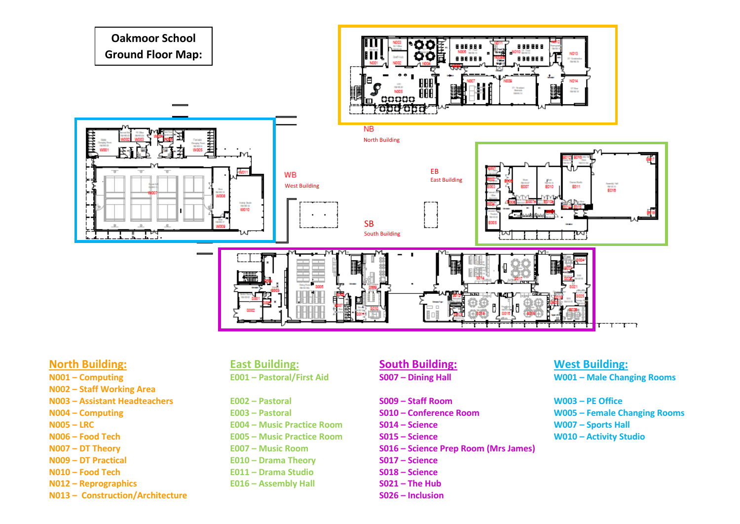

- **N001 – Computing**
- **N002 – Staff Working Area**
- **N003 – Assistant Headteachers E002 – Pastoral S009 – Staff Room W003 – PE Office**
- 
- 
- 
- 
- 
- 
- **N012 – Reprographics E016 – Assembly Hall S021 – The Hub**
- **N013 – Construction/Architecture S026 – Inclusion**

- 
- 
- **N005 LRC E004 Music Practice Room S014 Science** WOOS **S014 Science** WOOS
- **N006 – Food Tech E005 – Music Practice Room S015 – Science W010 – Activity Studio**
	-
- **N009 – DT Practical E010 – Drama Theory S017 – Science**
- **N010 – Food Tech E011 – Drama Studio S018 – Science** 
	-

- 
- 
- 
- 
- **N007 – DT Theory E007 – Music Room S016 – Science Prep Room (Mrs James)**
	-
	-
	-
	-

# **North Building: East Building: South Building: West Building: E001 – Pastoral/First Aid S007 – Dining Hall W001 – Male Changing Rooms**

**N004 – Computing E003 – Pastoral S010 – Conference Room W005 – Female Changing Rooms**